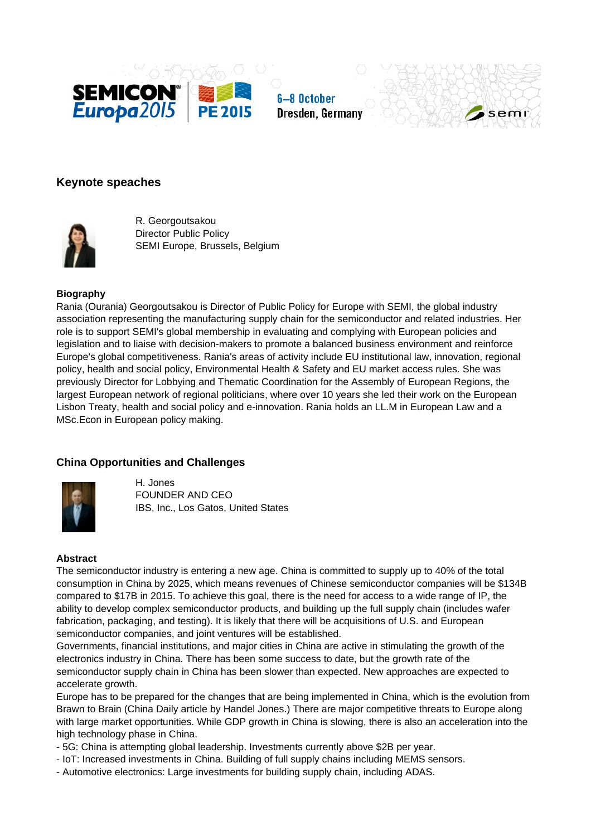





# **Keynote speaches**



R. Georgoutsakou Director Public Policy SEMI Europe, Brussels, Belgium

## **Biography**

Rania (Ourania) Georgoutsakou is Director of Public Policy for Europe with SEMI, the global industry association representing the manufacturing supply chain for the semiconductor and related industries. Her role is to support SEMI's global membership in evaluating and complying with European policies and legislation and to liaise with decision-makers to promote a balanced business environment and reinforce Europe's global competitiveness. Rania's areas of activity include EU institutional law, innovation, regional policy, health and social policy, Environmental Health & Safety and EU market access rules. She was previously Director for Lobbying and Thematic Coordination for the Assembly of European Regions, the largest European network of regional politicians, where over 10 years she led their work on the European Lisbon Treaty, health and social policy and e-innovation. Rania holds an LL.M in European Law and a MSc.Econ in European policy making.

## **China Opportunities and Challenges**



H. Jones FOUNDER AND CEO IBS, Inc., Los Gatos, United States

#### **Abstract**

The semiconductor industry is entering a new age. China is committed to supply up to 40% of the total consumption in China by 2025, which means revenues of Chinese semiconductor companies will be \$134B compared to \$17B in 2015. To achieve this goal, there is the need for access to a wide range of IP, the ability to develop complex semiconductor products, and building up the full supply chain (includes wafer fabrication, packaging, and testing). It is likely that there will be acquisitions of U.S. and European semiconductor companies, and joint ventures will be established.

Governments, financial institutions, and major cities in China are active in stimulating the growth of the electronics industry in China. There has been some success to date, but the growth rate of the semiconductor supply chain in China has been slower than expected. New approaches are expected to accelerate growth.

Europe has to be prepared for the changes that are being implemented in China, which is the evolution from Brawn to Brain (China Daily article by Handel Jones.) There are major competitive threats to Europe along with large market opportunities. While GDP growth in China is slowing, there is also an acceleration into the high technology phase in China.

- 5G: China is attempting global leadership. Investments currently above \$2B per year.
- IoT: Increased investments in China. Building of full supply chains including MEMS sensors.
- Automotive electronics: Large investments for building supply chain, including ADAS.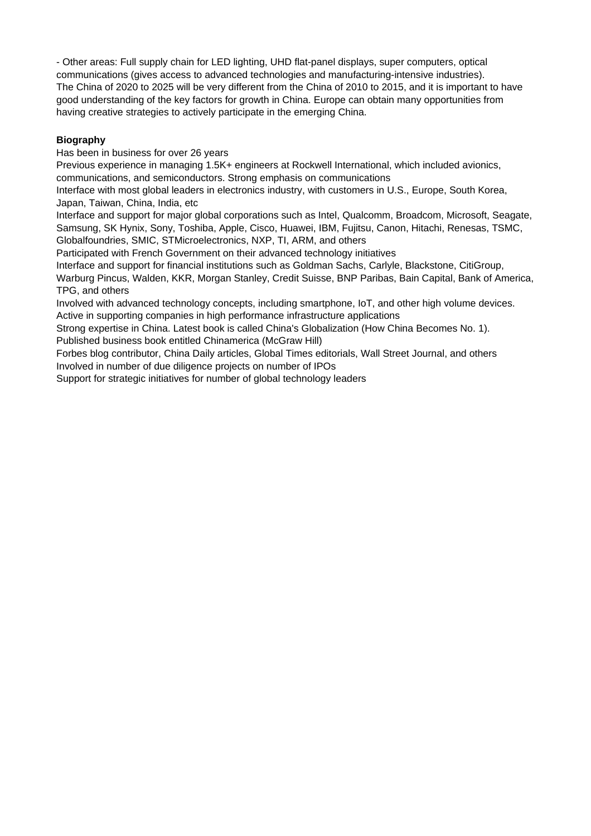- Other areas: Full supply chain for LED lighting, UHD flat-panel displays, super computers, optical communications (gives access to advanced technologies and manufacturing-intensive industries). The China of 2020 to 2025 will be very different from the China of 2010 to 2015, and it is important to have good understanding of the key factors for growth in China. Europe can obtain many opportunities from having creative strategies to actively participate in the emerging China.

## **Biography**

Has been in business for over 26 years

Previous experience in managing 1.5K+ engineers at Rockwell International, which included avionics, communications, and semiconductors. Strong emphasis on communications

Interface with most global leaders in electronics industry, with customers in U.S., Europe, South Korea, Japan, Taiwan, China, India, etc

Interface and support for major global corporations such as Intel, Qualcomm, Broadcom, Microsoft, Seagate, Samsung, SK Hynix, Sony, Toshiba, Apple, Cisco, Huawei, IBM, Fujitsu, Canon, Hitachi, Renesas, TSMC, Globalfoundries, SMIC, STMicroelectronics, NXP, TI, ARM, and others

Participated with French Government on their advanced technology initiatives

Interface and support for financial institutions such as Goldman Sachs, Carlyle, Blackstone, CitiGroup,

Warburg Pincus, Walden, KKR, Morgan Stanley, Credit Suisse, BNP Paribas, Bain Capital, Bank of America, TPG, and others

Involved with advanced technology concepts, including smartphone, IoT, and other high volume devices. Active in supporting companies in high performance infrastructure applications

Strong expertise in China. Latest book is called China's Globalization (How China Becomes No. 1). Published business book entitled Chinamerica (McGraw Hill)

Forbes blog contributor, China Daily articles, Global Times editorials, Wall Street Journal, and others Involved in number of due diligence projects on number of IPOs

Support for strategic initiatives for number of global technology leaders